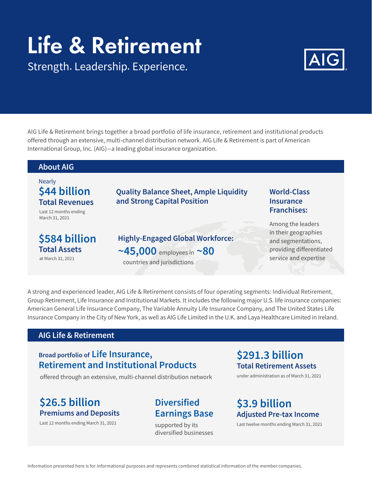# Life & Retirement

Strength. Leadership. Experience.



AIG Life & Retirement brings together a broad portfolio of life insurance, retirement and institutional products offered through an extensive, multi-channel distribution network. AIG Life & Retirement is part of American International Group, Inc. (AIG)–a leading global insurance organization.



A strong and experienced leader, AIG Life & Retirement consists of four operating segments: Individual Retirement, Group Retirement, Life Insurance and Institutional Markets. It includes the following major U.S. life insurance companies: American General Life Insurance Company, The Variable Annuity Life Insurance Company, and The United States Life Insurance Company in the City of New York, as well as AIG Life Limited in the U.K. and Laya Healthcare Limited in Ireland.

#### **AIG Life & Retirement**

#### **Broad portfolio of Life Insurance, Retirement and Institutional Products**

offered through an extensive, multi-channel distribution network

### **\$26.5 billion Premiums and Deposits**

Last 12 months ending March 31, 2021

## **Diversified Earnings Base**

supported by its diversified businesses

#### **\$291.3 billion Total Retirement Assets**

under administration as of March 31, 2021

## **\$3.9 billion Adjusted Pre-tax Income**

Last twelve months ending March 31, 2021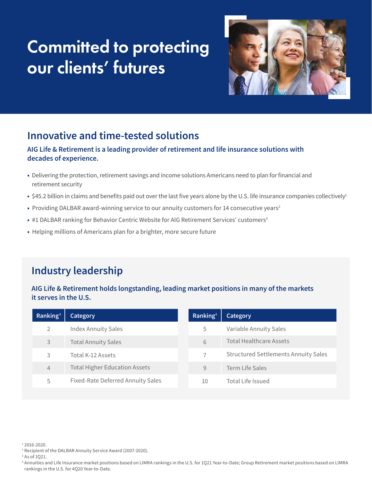## Committed to protecting our clients' futures



## **Innovative and time-tested solutions**

#### **AIG Life & Retirement is a leading provider of retirement and life insurance solutions with decades of experience.**

- Delivering the protection, retirement savings and income solutions Americans need to plan for financial and retirement security
- \$45.2 billion in claims and benefits paid out over the last five years alone by the U.S. life insurance companies collectively<sup>1</sup>
- Providing DALBAR award-winning service to our annuity customers for 14 consecutive years<sup>2</sup>
- #1 DALBAR ranking for Behavior Centric Website for AIG Retirement Services' customers<sup>3</sup>
- Helping millions of Americans plan for a brighter, more secure future

## **Industry leadership**

#### **AIG Life & Retirement holds longstanding, leading market positions in many of the markets it serves in the U.S.**

| Ranking <sup>4</sup> | <b>Category</b>                      | $Ra$ nking <sup>4</sup> | <b>Category</b>                             |
|----------------------|--------------------------------------|-------------------------|---------------------------------------------|
| 2                    | <b>Index Annuity Sales</b>           | 5                       | Variable Annuity Sales                      |
| 3                    | <b>Total Annuity Sales</b>           | 6                       | <b>Total Healthcare Assets</b>              |
| 3                    | Total K-12 Assets                    |                         | <b>Structured Settlements Annuity Sales</b> |
| 4                    | <b>Total Higher Education Assets</b> | 9                       | <b>Term Life Sales</b>                      |
| 5                    | Fixed-Rate Deferred Annuity Sales    | 10                      | Total Life Issued                           |

1 2016-2020.

2 Recipient of the DALBAR Annuity Service Award (2007-2020).

3 As of 1Q21.

<sup>4</sup> Annuities and Life Insurance market positions based on LIMRA rankings in the U.S. for 1Q21 Year-to-Date; Group Retirement market positions based on LIMRA rankings in the U.S. for 4Q20 Year-to-Date.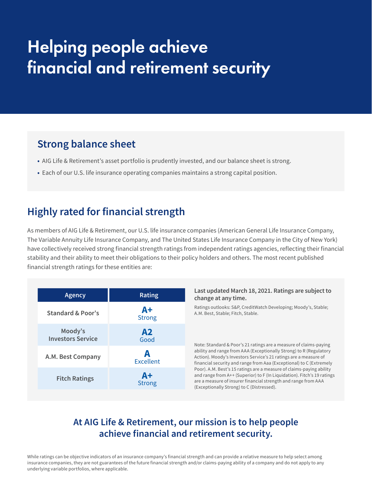## Helping people achieve financial and retirement security

## **Strong balance sheet**

- AIG Life & Retirement's asset portfolio is prudently invested, and our balance sheet is strong.
- Each of our U.S. life insurance operating companies maintains a strong capital position.

## **Highly rated for financial strength**

As members of AIG Life & Retirement, our U.S. life insurance companies (American General Life Insurance Company, The Variable Annuity Life Insurance Company, and The United States Life Insurance Company in the City of New York) have collectively received strong financial strength ratings from independent ratings agencies, reflecting their financial stability and their ability to meet their obligations to their policy holders and others. The most recent published financial strength ratings for these entities are:

| <b>Agency</b>                       | <b>Rating</b>         |
|-------------------------------------|-----------------------|
| Standard & Poor's                   | $A+$<br><b>Strong</b> |
| Moody's<br><b>Investors Service</b> | A2<br>Good            |
| A.M. Best Company                   | A<br><b>Excellent</b> |
| <b>Fitch Ratings</b>                | $A+$<br><b>Strong</b> |

#### **Last updated March 18, 2021. Ratings are subject to change at any time.**

Ratings outlooks: S&P, CreditWatch Developing; Moody's, Stable; A.M. Best, Stable; Fitch, Stable.

Note: Standard & Poor's 21 ratings are a measure of claims-paying ability and range from AAA (Exceptionally Strong) to R (Regulatory Action). Moody's Investors Service's 21 ratings are a measure of financial security and range from Aaa (Exceptional) to C (Extremely Poor). A.M. Best's 15 ratings are a measure of claims-paying ability and range from A++ (Superior) to F (In Liquidation). Fitch's 19 ratings are a measure of insurer financial strength and range from AAA (Exceptionally Strong) to C (Distressed).

#### **At AIG Life & Retirement, our mission is to help people achieve financial and retirement security.**

While ratings can be objective indicators of an insurance company's financial strength and can provide a relative measure to help select among insurance companies, they are not guarantees of the future financial strength and/or claims-paying ability of a company and do not apply to any underlying variable portfolios, where applicable.